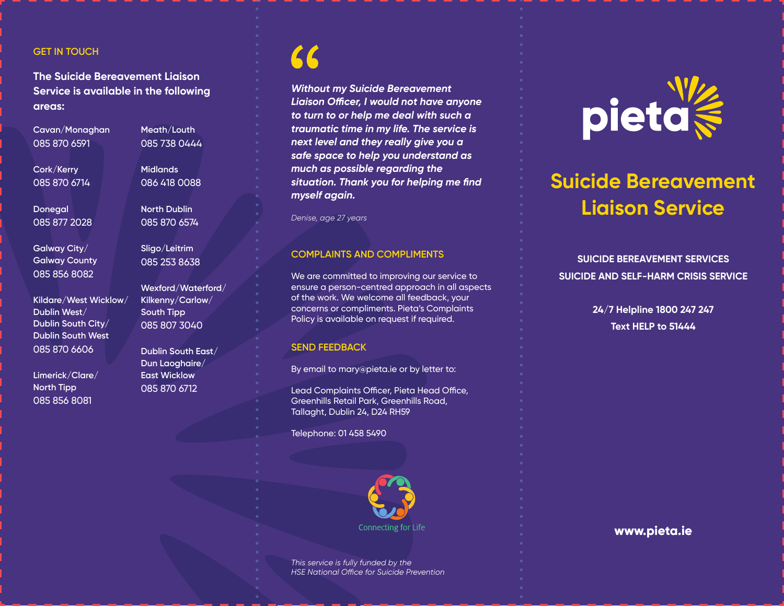## **GET IN TOUCH**

**The Suicide Bereavement Liaison Service is available in the following areas:**

**Cavan/Monaghan** 085 870 6591

**Meath/Louth** 085 738 0444

**Midlands** 086 418 0088

**North Dublin** 085 870 6574

**Sligo/Leitrim** 085 253 8638

**Wexford/Waterford/ Kilkenny/Carlow/ South Tipp** 085 807 3040

**Dublin South East/ Dun Laoghaire/ East Wicklow** 085 870 6712

**Cork/Kerry** 085 870 6714

**Donegal** 085 877 2028

**Galway City/ Galway County** 085 856 8082

**Kildare/West Wicklow/ Dublin West/ Dublin South City/ Dublin South West** 085 870 6606

**Limerick/Clare/ North Tipp** 085 856 8081

*Without my Suicide Bereavement Liaison Officer, I would not have anyone to turn to or help me deal with such a traumatic time in my life. The service is next level and they really give you a safe space to help you understand as much as possible regarding the situation. Thank you for helping me find myself again.*

*Denise, age 27 years*

### **COMPLAINTS AND COMPLIMENTS**

We are committed to improving our service to ensure a person-centred approach in all aspects of the work. We welcome all feedback, your concerns or compliments. Pieta's Complaints Policy is available on request if required.

#### **SEND FEEDBACK**

By email to mary@pieta.ie or by letter to:

Lead Complaints Officer, Pieta Head Office, Greenhills Retail Park, Greenhills Road, Tallaght, Dublin 24, D24 RH59

Telephone: 01 458 5490



*This service is fully funded by the HSE National Office for Suicide Prevention*



## **Suicide Bereavement Liaison Service**

**SUICIDE BEREAVEMENT SERVICES SUICIDE AND SELF-HARM CRISIS SERVICE**

> **24/7 Helpline 1800 247 247 Text HELP to 51444**

> > **www.pieta.ie**